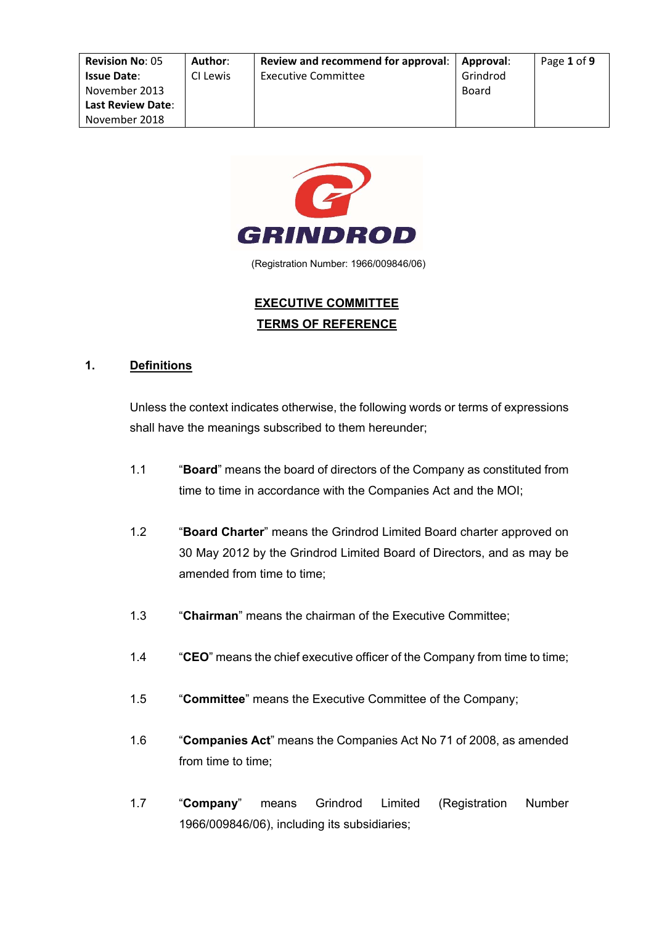| <b>Revision No: 05</b>   | Author:  | Review and recommend for approval: | Approval: | Page 1 of 9 |
|--------------------------|----------|------------------------------------|-----------|-------------|
| <b>Issue Date:</b>       | CI Lewis | <b>Executive Committee</b>         | Grindrod  |             |
| November 2013            |          |                                    | Board     |             |
| <b>Last Review Date:</b> |          |                                    |           |             |
| November 2018            |          |                                    |           |             |



(Registration Number: 1966/009846/06)

# **EXECUTIVE COMMITTEE TERMS OF REFERENCE**

#### **1. Definitions**

Unless the context indicates otherwise, the following words or terms of expressions shall have the meanings subscribed to them hereunder;

- 1.1 "**Board**" means the board of directors of the Company as constituted from time to time in accordance with the Companies Act and the MOI;
- 1.2 "**Board Charter**" means the Grindrod Limited Board charter approved on 30 May 2012 by the Grindrod Limited Board of Directors, and as may be amended from time to time:
- 1.3 "**Chairman**" means the chairman of the Executive Committee;
- 1.4 "**CEO**" means the chief executive officer of the Company from time to time;
- 1.5 "**Committee**" means the Executive Committee of the Company;
- 1.6 "**Companies Act**" means the Companies Act No 71 of 2008, as amended from time to time;
- 1.7 "**Company**" means Grindrod Limited (Registration Number 1966/009846/06), including its subsidiaries;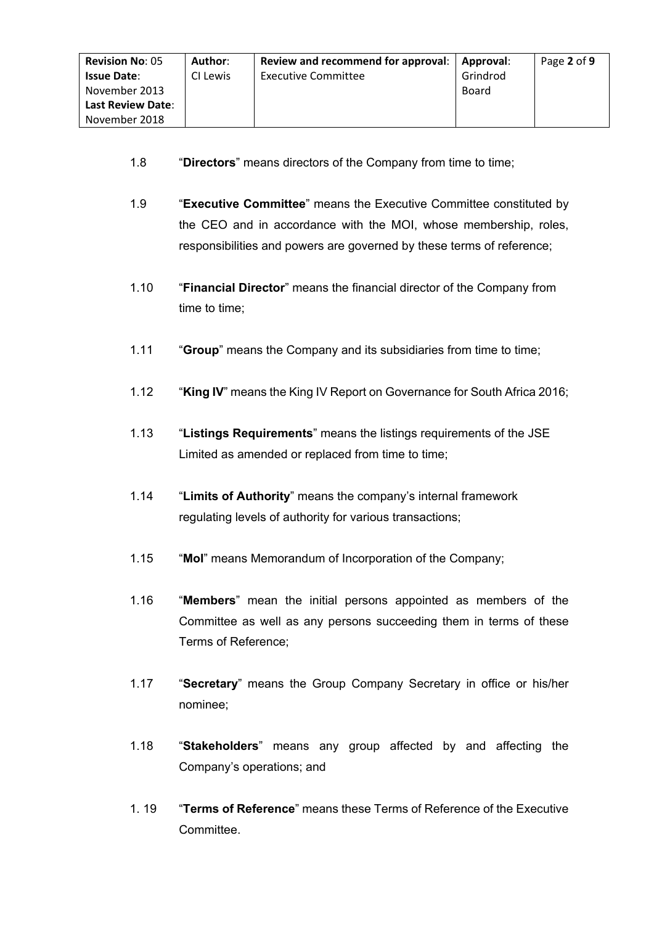- 1.8 "**Directors**" means directors of the Company from time to time;
- 1.9 "**Executive Committee**" means the Executive Committee constituted by the CEO and in accordance with the MOI, whose membership, roles, responsibilities and powers are governed by these terms of reference;
- 1.10 "**Financial Director**" means the financial director of the Company from time to time;
- 1.11 "**Group**" means the Company and its subsidiaries from time to time;
- 1.12 "**King IV**" means the King IV Report on Governance for South Africa 2016;
- 1.13 "**Listings Requirements**" means the listings requirements of the JSE Limited as amended or replaced from time to time;
- 1.14 "**Limits of Authority**" means the company's internal framework regulating levels of authority for various transactions;
- 1.15 "**MoI**" means Memorandum of Incorporation of the Company;
- 1.16 "**Members**" mean the initial persons appointed as members of the Committee as well as any persons succeeding them in terms of these Terms of Reference;
- 1.17 "**Secretary**" means the Group Company Secretary in office or his/her nominee;
- 1.18 "**Stakeholders**" means any group affected by and affecting the Company's operations; and
- 1. 19 "**Terms of Reference**" means these Terms of Reference of the Executive **Committee.**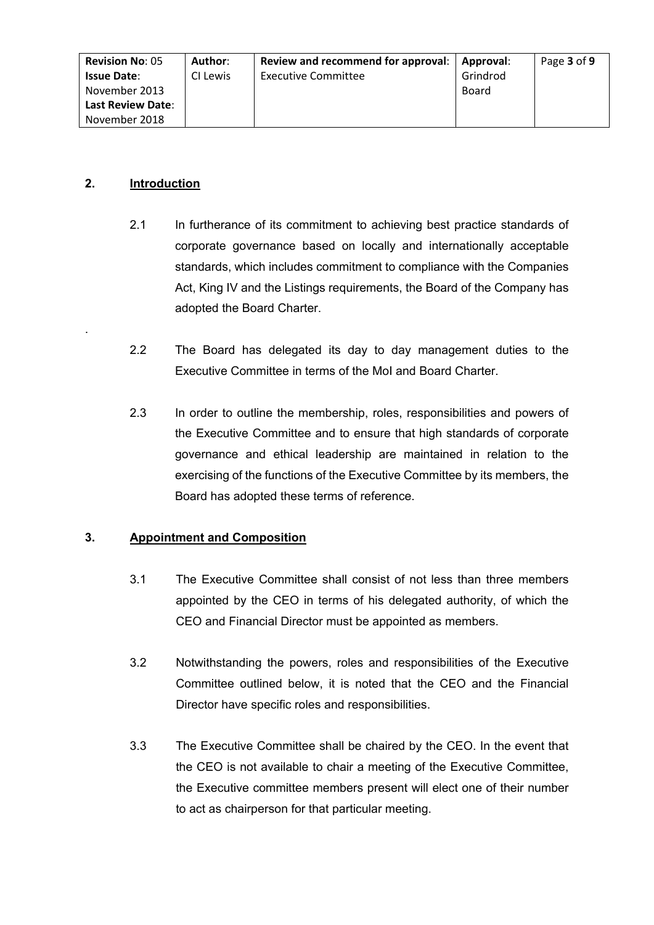| <b>Revision No: 05</b>   | Author:  | Review and recommend for approval: | Approval: | Page 3 of 9 |
|--------------------------|----------|------------------------------------|-----------|-------------|
| <b>Issue Date:</b>       | CI Lewis | <b>Executive Committee</b>         | Grindrod  |             |
| November 2013            |          |                                    | Board     |             |
| <b>Last Review Date:</b> |          |                                    |           |             |
| November 2018            |          |                                    |           |             |

# **2. Introduction**

.

- 2.1 In furtherance of its commitment to achieving best practice standards of corporate governance based on locally and internationally acceptable standards, which includes commitment to compliance with the Companies Act, King IV and the Listings requirements, the Board of the Company has adopted the Board Charter.
- 2.2 The Board has delegated its day to day management duties to the Executive Committee in terms of the MoI and Board Charter.
- 2.3 In order to outline the membership, roles, responsibilities and powers of the Executive Committee and to ensure that high standards of corporate governance and ethical leadership are maintained in relation to the exercising of the functions of the Executive Committee by its members, the Board has adopted these terms of reference.

# **3. Appointment and Composition**

- 3.1 The Executive Committee shall consist of not less than three members appointed by the CEO in terms of his delegated authority, of which the CEO and Financial Director must be appointed as members.
- 3.2 Notwithstanding the powers, roles and responsibilities of the Executive Committee outlined below, it is noted that the CEO and the Financial Director have specific roles and responsibilities.
- 3.3 The Executive Committee shall be chaired by the CEO. In the event that the CEO is not available to chair a meeting of the Executive Committee, the Executive committee members present will elect one of their number to act as chairperson for that particular meeting.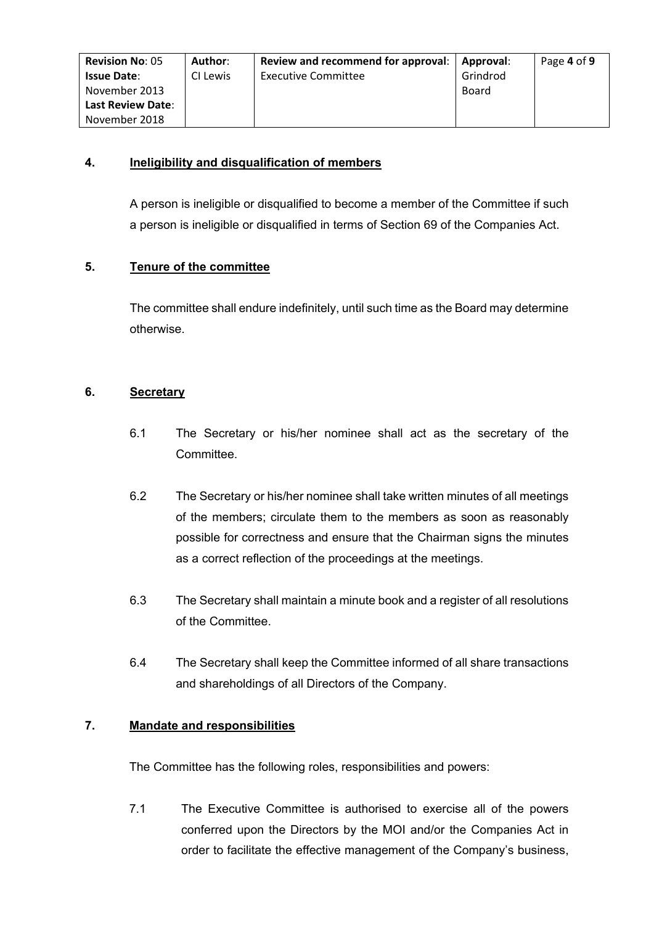| <b>Revision No: 05</b>   | Author:  | Review and recommend for approval: | Approval: | Page 4 of 9 |
|--------------------------|----------|------------------------------------|-----------|-------------|
| <b>Issue Date:</b>       | CI Lewis | <b>Executive Committee</b>         | Grindrod  |             |
| November 2013            |          |                                    | Board     |             |
| <b>Last Review Date:</b> |          |                                    |           |             |
| November 2018            |          |                                    |           |             |

# **4. Ineligibility and disqualification of members**

A person is ineligible or disqualified to become a member of the Committee if such a person is ineligible or disqualified in terms of Section 69 of the Companies Act.

# **5. Tenure of the committee**

The committee shall endure indefinitely, until such time as the Board may determine otherwise.

#### **6. Secretary**

- 6.1 The Secretary or his/her nominee shall act as the secretary of the Committee.
- 6.2 The Secretary or his/her nominee shall take written minutes of all meetings of the members; circulate them to the members as soon as reasonably possible for correctness and ensure that the Chairman signs the minutes as a correct reflection of the proceedings at the meetings.
- 6.3 The Secretary shall maintain a minute book and a register of all resolutions of the Committee.
- 6.4 The Secretary shall keep the Committee informed of all share transactions and shareholdings of all Directors of the Company.

# **7. Mandate and responsibilities**

The Committee has the following roles, responsibilities and powers:

7.1 The Executive Committee is authorised to exercise all of the powers conferred upon the Directors by the MOI and/or the Companies Act in order to facilitate the effective management of the Company's business,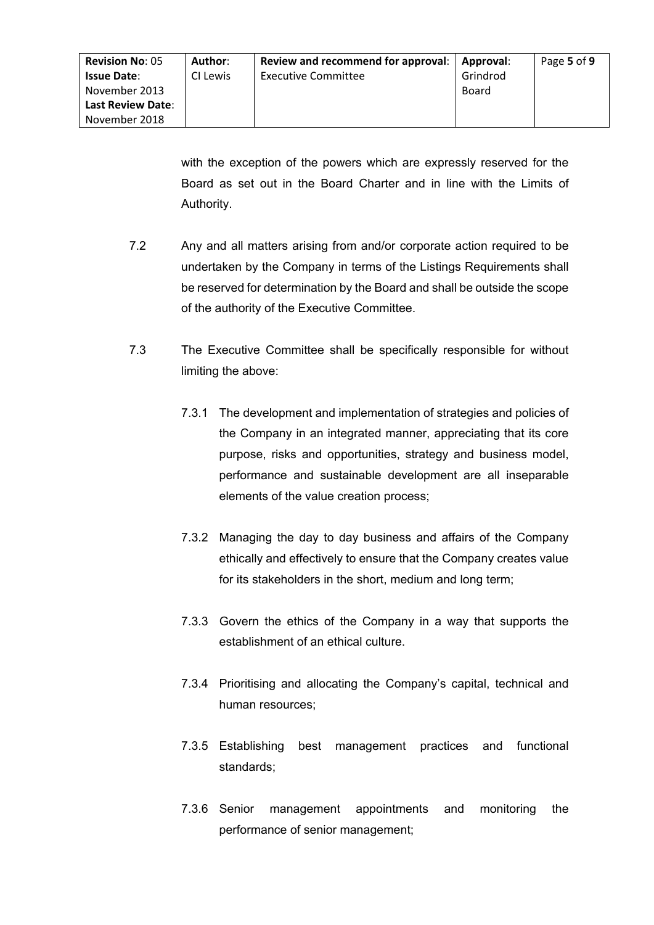with the exception of the powers which are expressly reserved for the Board as set out in the Board Charter and in line with the Limits of Authority.

- 7.2 Any and all matters arising from and/or corporate action required to be undertaken by the Company in terms of the Listings Requirements shall be reserved for determination by the Board and shall be outside the scope of the authority of the Executive Committee.
- 7.3 The Executive Committee shall be specifically responsible for without limiting the above:
	- 7.3.1 The development and implementation of strategies and policies of the Company in an integrated manner, appreciating that its core purpose, risks and opportunities, strategy and business model, performance and sustainable development are all inseparable elements of the value creation process;
	- 7.3.2 Managing the day to day business and affairs of the Company ethically and effectively to ensure that the Company creates value for its stakeholders in the short, medium and long term;
	- 7.3.3 Govern the ethics of the Company in a way that supports the establishment of an ethical culture.
	- 7.3.4 Prioritising and allocating the Company's capital, technical and human resources;
	- 7.3.5 Establishing best management practices and functional standards;
	- 7.3.6 Senior management appointments and monitoring the performance of senior management;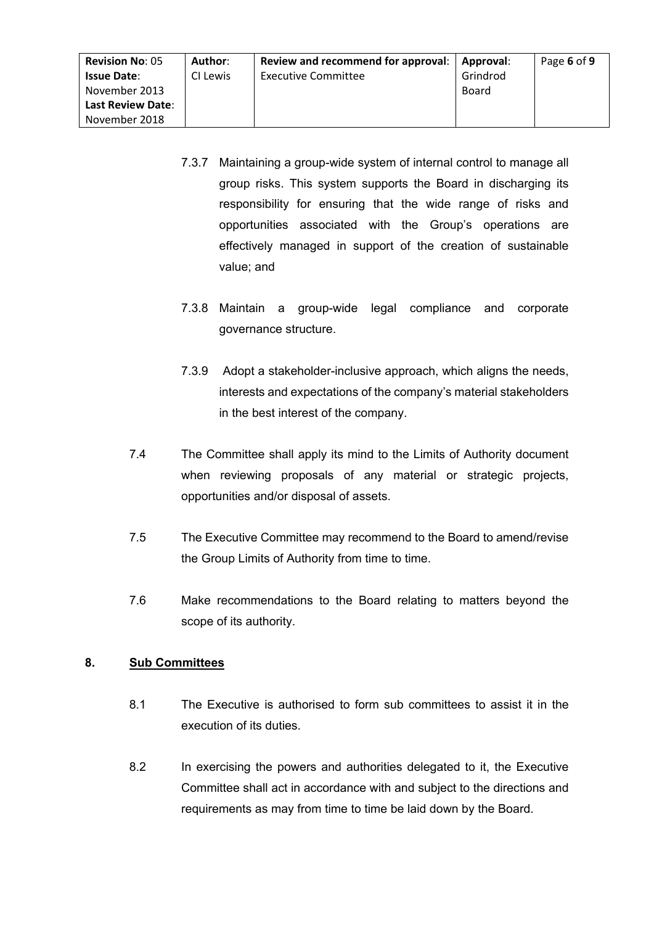| <b>Revision No: 05</b>   | Author:  | Review and recommend for approval:   Approval: |          | Page 6 of 9 |
|--------------------------|----------|------------------------------------------------|----------|-------------|
| <b>Issue Date:</b>       | CI Lewis | <b>Executive Committee</b>                     | Grindrod |             |
| November 2013            |          |                                                | Board    |             |
| <b>Last Review Date:</b> |          |                                                |          |             |
| November 2018            |          |                                                |          |             |

- 7.3.7 Maintaining a group-wide system of internal control to manage all group risks. This system supports the Board in discharging its responsibility for ensuring that the wide range of risks and opportunities associated with the Group's operations are effectively managed in support of the creation of sustainable value; and
- 7.3.8 Maintain a group-wide legal compliance and corporate governance structure.
- 7.3.9 Adopt a stakeholder-inclusive approach, which aligns the needs, interests and expectations of the company's material stakeholders in the best interest of the company.
- 7.4 The Committee shall apply its mind to the Limits of Authority document when reviewing proposals of any material or strategic projects, opportunities and/or disposal of assets.
- 7.5 The Executive Committee may recommend to the Board to amend/revise the Group Limits of Authority from time to time.
- 7.6 Make recommendations to the Board relating to matters beyond the scope of its authority.

# **8. Sub Committees**

- 8.1 The Executive is authorised to form sub committees to assist it in the execution of its duties.
- 8.2 In exercising the powers and authorities delegated to it, the Executive Committee shall act in accordance with and subject to the directions and requirements as may from time to time be laid down by the Board.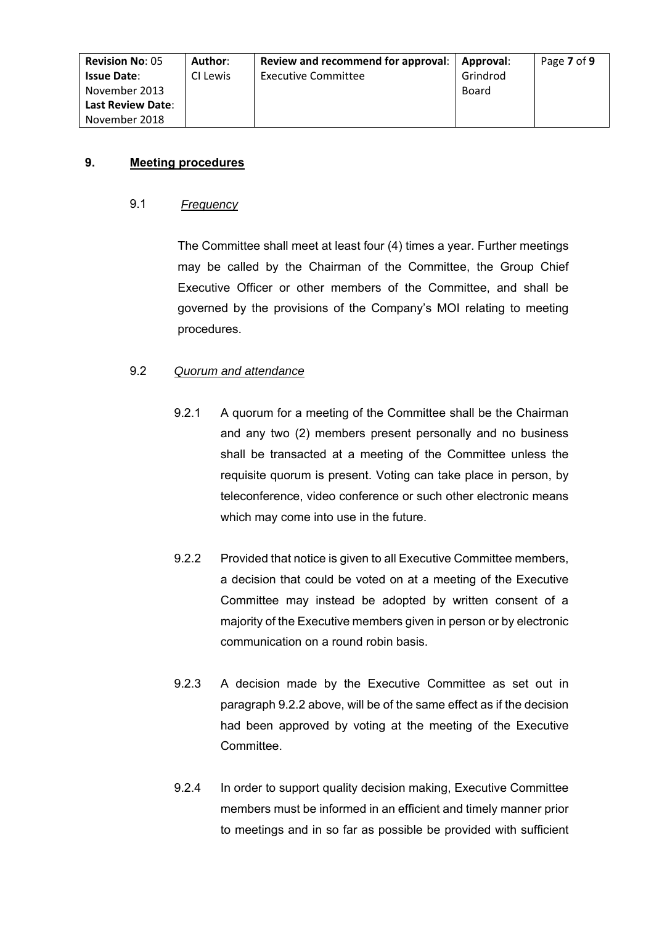| <b>Revision No: 05</b>   | Author:  | Review and recommend for approval: | Approval: | Page 7 of 9 |
|--------------------------|----------|------------------------------------|-----------|-------------|
| <b>Issue Date:</b>       | CI Lewis | <b>Executive Committee</b>         | Grindrod  |             |
| November 2013            |          |                                    | Board     |             |
| <b>Last Review Date:</b> |          |                                    |           |             |
| November 2018            |          |                                    |           |             |

# **9. Meeting procedures**

#### 9.1 *Frequency*

The Committee shall meet at least four (4) times a year. Further meetings may be called by the Chairman of the Committee, the Group Chief Executive Officer or other members of the Committee, and shall be governed by the provisions of the Company's MOI relating to meeting procedures.

# 9.2 *Quorum and attendance*

- 9.2.1 A quorum for a meeting of the Committee shall be the Chairman and any two (2) members present personally and no business shall be transacted at a meeting of the Committee unless the requisite quorum is present. Voting can take place in person, by teleconference, video conference or such other electronic means which may come into use in the future.
- 9.2.2 Provided that notice is given to all Executive Committee members, a decision that could be voted on at a meeting of the Executive Committee may instead be adopted by written consent of a majority of the Executive members given in person or by electronic communication on a round robin basis.
- 9.2.3 A decision made by the Executive Committee as set out in paragraph 9.2.2 above, will be of the same effect as if the decision had been approved by voting at the meeting of the Executive Committee.
- 9.2.4 In order to support quality decision making, Executive Committee members must be informed in an efficient and timely manner prior to meetings and in so far as possible be provided with sufficient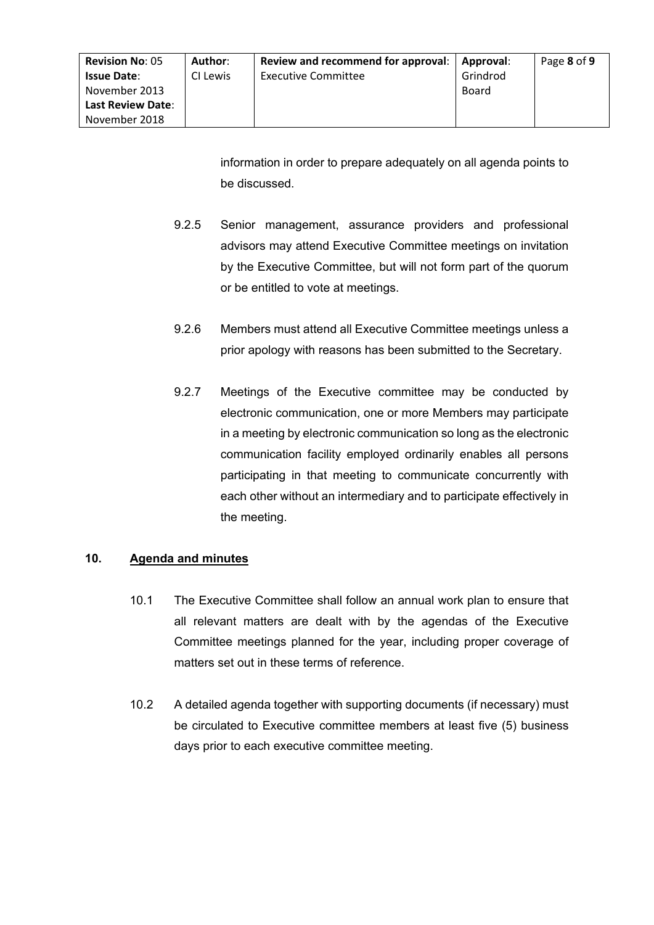| <b>Revision No: 05</b>   | Author:  | Review and recommend for approval:   Approval: |          | Page 8 of 9 |
|--------------------------|----------|------------------------------------------------|----------|-------------|
| <b>Issue Date:</b>       | CI Lewis | <b>Executive Committee</b>                     | Grindrod |             |
| November 2013            |          |                                                | Board    |             |
| <b>Last Review Date:</b> |          |                                                |          |             |
| November 2018            |          |                                                |          |             |

information in order to prepare adequately on all agenda points to be discussed.

- 9.2.5 Senior management, assurance providers and professional advisors may attend Executive Committee meetings on invitation by the Executive Committee, but will not form part of the quorum or be entitled to vote at meetings.
- 9.2.6 Members must attend all Executive Committee meetings unless a prior apology with reasons has been submitted to the Secretary.
- 9.2.7 Meetings of the Executive committee may be conducted by electronic communication, one or more Members may participate in a meeting by electronic communication so long as the electronic communication facility employed ordinarily enables all persons participating in that meeting to communicate concurrently with each other without an intermediary and to participate effectively in the meeting.

#### **10. Agenda and minutes**

- 10.1 The Executive Committee shall follow an annual work plan to ensure that all relevant matters are dealt with by the agendas of the Executive Committee meetings planned for the year, including proper coverage of matters set out in these terms of reference.
- 10.2 A detailed agenda together with supporting documents (if necessary) must be circulated to Executive committee members at least five (5) business days prior to each executive committee meeting.